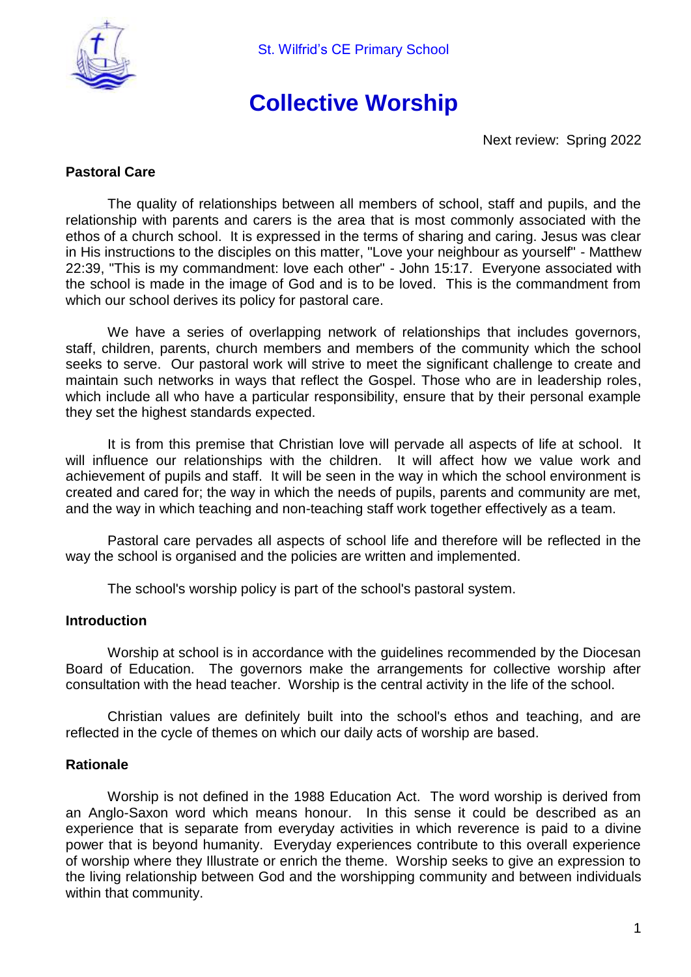

# **Collective Worship**

Next review: Spring 2022

## **Pastoral Care**

The quality of relationships between all members of school, staff and pupils, and the relationship with parents and carers is the area that is most commonly associated with the ethos of a church school. It is expressed in the terms of sharing and caring. Jesus was clear in His instructions to the disciples on this matter, "Love your neighbour as yourself" - Matthew 22:39, "This is my commandment: love each other" - John 15:17. Everyone associated with the school is made in the image of God and is to be loved. This is the commandment from which our school derives its policy for pastoral care.

We have a series of overlapping network of relationships that includes governors, staff, children, parents, church members and members of the community which the school seeks to serve. Our pastoral work will strive to meet the significant challenge to create and maintain such networks in ways that reflect the Gospel. Those who are in leadership roles, which include all who have a particular responsibility, ensure that by their personal example they set the highest standards expected.

It is from this premise that Christian love will pervade all aspects of life at school. It will influence our relationships with the children. It will affect how we value work and achievement of pupils and staff. It will be seen in the way in which the school environment is created and cared for; the way in which the needs of pupils, parents and community are met, and the way in which teaching and non-teaching staff work together effectively as a team.

Pastoral care pervades all aspects of school life and therefore will be reflected in the way the school is organised and the policies are written and implemented.

The school's worship policy is part of the school's pastoral system.

#### **Introduction**

Worship at school is in accordance with the guidelines recommended by the Diocesan Board of Education. The governors make the arrangements for collective worship after consultation with the head teacher. Worship is the central activity in the life of the school.

Christian values are definitely built into the school's ethos and teaching, and are reflected in the cycle of themes on which our daily acts of worship are based.

#### **Rationale**

Worship is not defined in the 1988 Education Act. The word worship is derived from an Anglo-Saxon word which means honour. In this sense it could be described as an experience that is separate from everyday activities in which reverence is paid to a divine power that is beyond humanity. Everyday experiences contribute to this overall experience of worship where they Illustrate or enrich the theme. Worship seeks to give an expression to the living relationship between God and the worshipping community and between individuals within that community.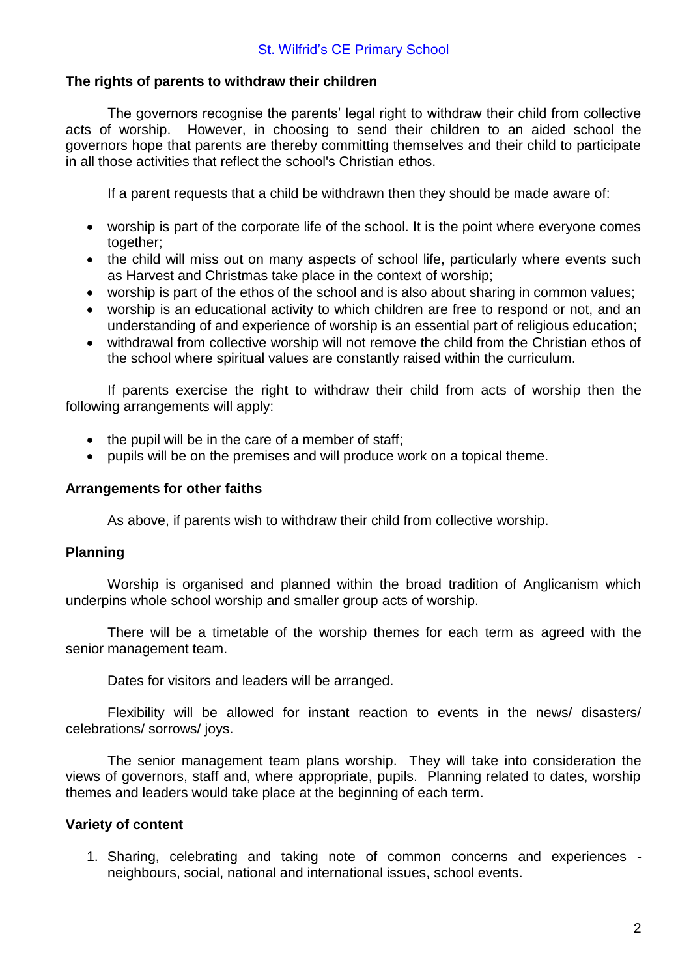## **The rights of parents to withdraw their children**

The governors recognise the parents' legal right to withdraw their child from collective acts of worship. However, in choosing to send their children to an aided school the governors hope that parents are thereby committing themselves and their child to participate in all those activities that reflect the school's Christian ethos.

If a parent requests that a child be withdrawn then they should be made aware of:

- worship is part of the corporate life of the school. It is the point where everyone comes together;
- the child will miss out on many aspects of school life, particularly where events such as Harvest and Christmas take place in the context of worship;
- worship is part of the ethos of the school and is also about sharing in common values;
- worship is an educational activity to which children are free to respond or not, and an understanding of and experience of worship is an essential part of religious education;
- withdrawal from collective worship will not remove the child from the Christian ethos of the school where spiritual values are constantly raised within the curriculum.

If parents exercise the right to withdraw their child from acts of worship then the following arrangements will apply:

- the pupil will be in the care of a member of staff;
- pupils will be on the premises and will produce work on a topical theme.

#### **Arrangements for other faiths**

As above, if parents wish to withdraw their child from collective worship.

#### **Planning**

Worship is organised and planned within the broad tradition of Anglicanism which underpins whole school worship and smaller group acts of worship.

There will be a timetable of the worship themes for each term as agreed with the senior management team.

Dates for visitors and leaders will be arranged.

Flexibility will be allowed for instant reaction to events in the news/ disasters/ celebrations/ sorrows/ joys.

The senior management team plans worship. They will take into consideration the views of governors, staff and, where appropriate, pupils. Planning related to dates, worship themes and leaders would take place at the beginning of each term.

#### **Variety of content**

1. Sharing, celebrating and taking note of common concerns and experiences neighbours, social, national and international issues, school events.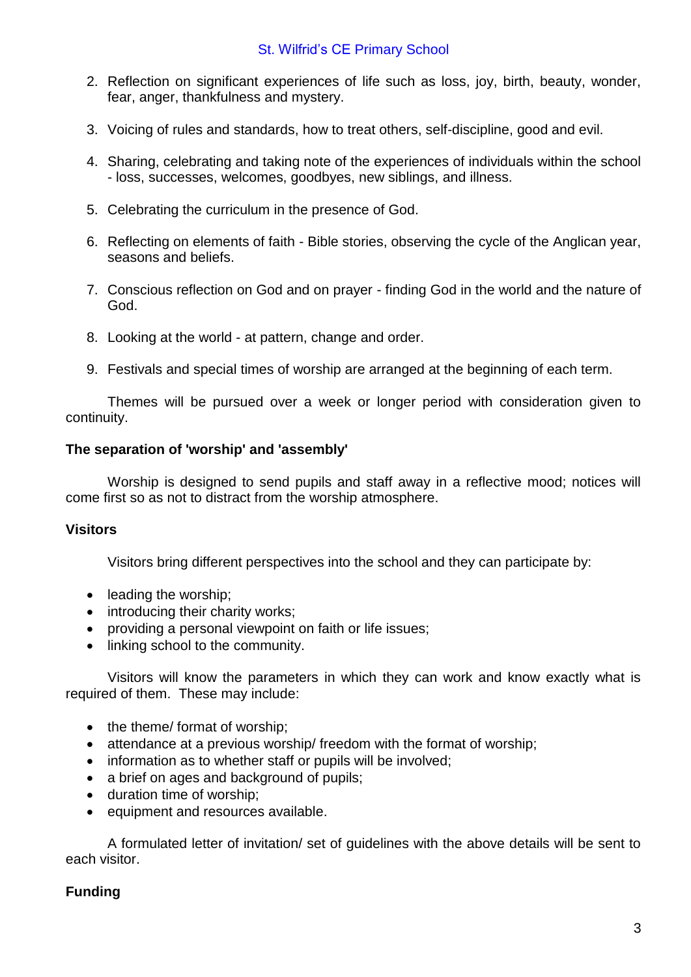- 2. Reflection on significant experiences of life such as loss, joy, birth, beauty, wonder, fear, anger, thankfulness and mystery.
- 3. Voicing of rules and standards, how to treat others, self-discipline, good and evil.
- 4. Sharing, celebrating and taking note of the experiences of individuals within the school - loss, successes, welcomes, goodbyes, new siblings, and illness.
- 5. Celebrating the curriculum in the presence of God.
- 6. Reflecting on elements of faith Bible stories, observing the cycle of the Anglican year, seasons and beliefs.
- 7. Conscious reflection on God and on prayer finding God in the world and the nature of God.
- 8. Looking at the world at pattern, change and order.
- 9. Festivals and special times of worship are arranged at the beginning of each term.

Themes will be pursued over a week or longer period with consideration given to continuity.

#### **The separation of 'worship' and 'assembly'**

Worship is designed to send pupils and staff away in a reflective mood; notices will come first so as not to distract from the worship atmosphere.

#### **Visitors**

Visitors bring different perspectives into the school and they can participate by:

- leading the worship:
- introducing their charity works;
- providing a personal viewpoint on faith or life issues;
- linking school to the community.

Visitors will know the parameters in which they can work and know exactly what is required of them. These may include:

- the theme/ format of worship;
- attendance at a previous worship/ freedom with the format of worship:
- information as to whether staff or pupils will be involved;
- a brief on ages and background of pupils;
- duration time of worship;
- equipment and resources available.

A formulated letter of invitation/ set of guidelines with the above details will be sent to each visitor.

## **Funding**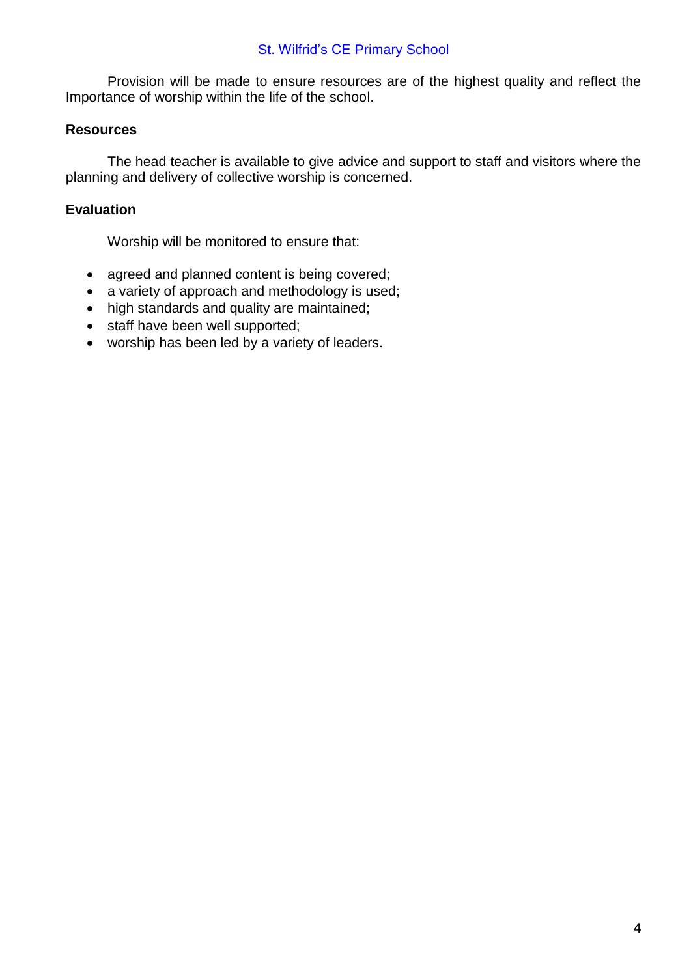## St. Wilfrid's CE Primary School

Provision will be made to ensure resources are of the highest quality and reflect the Importance of worship within the life of the school.

#### **Resources**

The head teacher is available to give advice and support to staff and visitors where the planning and delivery of collective worship is concerned.

### **Evaluation**

Worship will be monitored to ensure that:

- agreed and planned content is being covered;
- a variety of approach and methodology is used;
- high standards and quality are maintained;
- staff have been well supported;
- worship has been led by a variety of leaders.